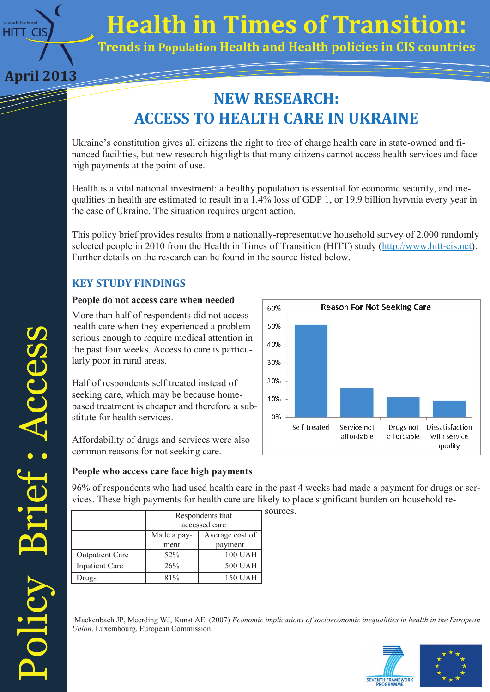

**April 2013**

# **Health in Times of Transition:**

Information Technology Solutions (September 2002) **Trends in Population Health and Health policies in CIS countries**

# **NEW RESEARCH: ACCESS TO HEALTH CARE IN UKRAINE**

Ukraine's constitution gives all citizens the right to free of charge health care in state-owned and financed facilities, but new research highlights that many citizens cannot access health services and face high payments at the point of use.

Health is a vital national investment: a healthy population is essential for economic security, and inequalities in health are estimated to result in a 1.4% loss of GDP 1, or 19.9 billion hyrvnia every year in the case of Ukraine. The situation requires urgent action.

This policy brief provides results from a nationally-representative household survey of 2,000 randomly selected people in 2010 from the Health in Times of Transition (HITT) study [\(http://www.hitt](http://www.hitt-cis.net/)-cis.net). Further details on the research can be found in the source listed below.

# **KEY STUDY FINDINGS**

### **People do not access care when needed**

More than half of respondents did not access health care when they experienced a problem serious enough to require medical attention in the past four weeks. Access to care is particularly poor in rural areas.

Half of respondents self treated instead of seeking care, which may be because homebased treatment is cheaper and therefore a substitute for health services.

Affordability of drugs and services were also common reasons for not seeking care.



## **People who access care face high payments**

96% of respondents who had used health care in the past 4 weeks had made a payment for drugs or services. These high payments for health care are likely to place significant burden on household re-

|                        | Respondents that<br>accessed care |                            |
|------------------------|-----------------------------------|----------------------------|
|                        | Made a pay-<br>ment               | Average cost of<br>payment |
| <b>Outpatient Care</b> | 52%                               | <b>100 UAH</b>             |
| Inpatient Care         | 26%                               | <b>500 UAH</b>             |
| Drugs                  | $81\%$                            | 150 UAH                    |

sources.

<sup>1</sup>Mackenbach JP, Meerding WJ, Kunst AE. (2007) *Economic implications of socioeconomic inequalities in health in the European Union*. Luxembourg, European Commission.